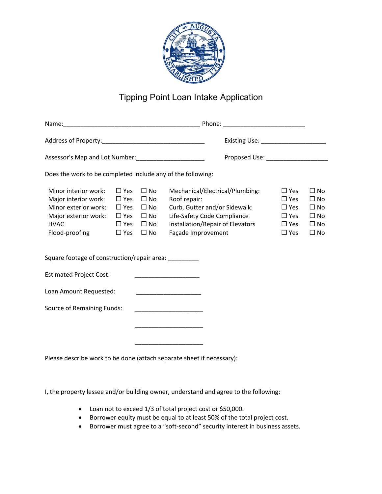

## Tipping Point Loan Intake Application

| Does the work to be completed include any of the following:                                                                   |                                                                                           |                                                                                              |                                                                                                                                                                           |                                                                                     |                                                                                  |
|-------------------------------------------------------------------------------------------------------------------------------|-------------------------------------------------------------------------------------------|----------------------------------------------------------------------------------------------|---------------------------------------------------------------------------------------------------------------------------------------------------------------------------|-------------------------------------------------------------------------------------|----------------------------------------------------------------------------------|
| Minor interior work:<br>Major interior work:<br>Minor exterior work:<br>Major exterior work:<br><b>HVAC</b><br>Flood-proofing | $\Box$ Yes<br>$\Box$ Yes<br>$\square$ Yes<br>$\square$ Yes<br>$\Box$ Yes<br>$\square$ Yes | $\square$ No<br>$\square$ No<br>$\square$ No<br>$\square$ No<br>$\square$ No<br>$\square$ No | Mechanical/Electrical/Plumbing:<br>Roof repair:<br>Curb, Gutter and/or Sidewalk:<br>Life-Safety Code Compliance<br>Installation/Repair of Elevators<br>Façade Improvement | $\Box$ Yes<br>$\Box$ Yes<br>$\Box$ Yes<br>$\Box$ Yes<br>$\Box$ Yes<br>$\square$ Yes | $\square$ No<br>$\Box$ No<br>$\Box$ No<br>$\Box$ No<br>$\Box$ No<br>$\square$ No |
| Square footage of construction/repair area:                                                                                   |                                                                                           |                                                                                              |                                                                                                                                                                           |                                                                                     |                                                                                  |
| <b>Estimated Project Cost:</b>                                                                                                |                                                                                           |                                                                                              |                                                                                                                                                                           |                                                                                     |                                                                                  |
| Loan Amount Requested:                                                                                                        |                                                                                           |                                                                                              | the control of the control of the control of the control of the control of                                                                                                |                                                                                     |                                                                                  |
| Source of Remaining Funds:                                                                                                    |                                                                                           |                                                                                              |                                                                                                                                                                           |                                                                                     |                                                                                  |
|                                                                                                                               |                                                                                           |                                                                                              |                                                                                                                                                                           |                                                                                     |                                                                                  |
|                                                                                                                               |                                                                                           |                                                                                              |                                                                                                                                                                           |                                                                                     |                                                                                  |
|                                                                                                                               |                                                                                           |                                                                                              | Please describe work to be done (attach separate sheet if necessary):                                                                                                     |                                                                                     |                                                                                  |

I, the property lessee and/or building owner, understand and agree to the following:

- Loan not to exceed 1/3 of total project cost or \$50,000.
- Borrower equity must be equal to at least 50% of the total project cost.
- Borrower must agree to a "soft‐second" security interest in business assets.